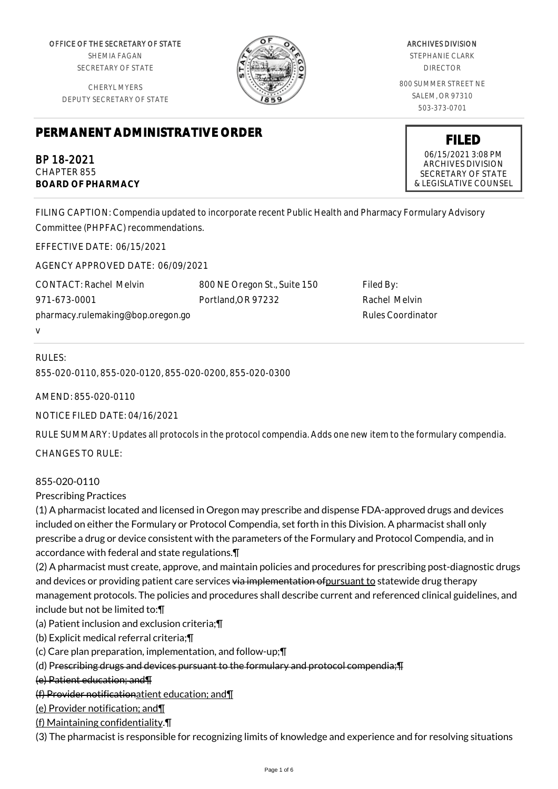OFFICE OF THE SECRETARY OF STATE SHEMIA FAGAN

SECRETARY OF STATE

CHERYL MYERS DEPUTY SECRETARY OF STATE

# **PERMANENT ADMINISTRATIVE ORDER**

BP 18-2021 CHAPTER 855 **BOARD OF PHARMACY**

ARCHIVES DIVISION STEPHANIE CLARK DIRECTOR 800 SUMMER STREET NE SALEM, OR 97310 503-373-0701

> **FILED** 06/15/2021 3:08 PM ARCHIVES DIVISION SECRETARY OF STATE & LEGISLATIVE COUNSEL

FILING CAPTION: Compendia updated to incorporate recent Public Health and Pharmacy Formulary Advisory Committee (PHPFAC) recommendations.

EFFECTIVE DATE: 06/15/2021

AGENCY APPROVED DATE: 06/09/2021

CONTACT: Rachel Melvin 971-673-0001 pharmacy.rulemaking@bop.oregon.go 800 NE Oregon St., Suite 150 Portland,OR 97232

Filed By: Rachel Melvin Rules Coordinator

# RULES:

v

855-020-0110, 855-020-0120, 855-020-0200, 855-020-0300

AMEND: 855-020-0110

NOTICE FILED DATE: 04/16/2021

RULE SUMMARY: Updates all protocols in the protocol compendia. Adds one new item to the formulary compendia.

CHANGES TO RULE:

# 855-020-0110

Prescribing Practices

(1) A pharmacist located and licensed in Oregon may prescribe and dispense FDA-approved drugs and devices included on either the Formulary or Protocol Compendia, set forth in this Division. A pharmacist shall only prescribe a drug or device consistent with the parameters of the Formulary and Protocol Compendia, and in accordance with federal and state regulations.¶

(2) A pharmacist must create, approve, and maintain policies and procedures for prescribing post-diagnostic drugs and devices or providing patient care services via implementation of pursuant to statewide drug therapy management protocols. The policies and procedures shall describe current and referenced clinical guidelines, and include but not be limited to:¶

- (a) Patient inclusion and exclusion criteria;¶
- (b) Explicit medical referral criteria;¶
- (c) Care plan preparation, implementation, and follow-up;¶
- (d) Prescribing drugs and devices pursuant to the formulary and protocol compendia;¶
- (e) Patient education; and¶
- (f) Provider notificationatient education; and¶
- (e) Provider notification; and¶
- (f) Maintaining confidentiality.¶

(3) The pharmacist is responsible for recognizing limits of knowledge and experience and for resolving situations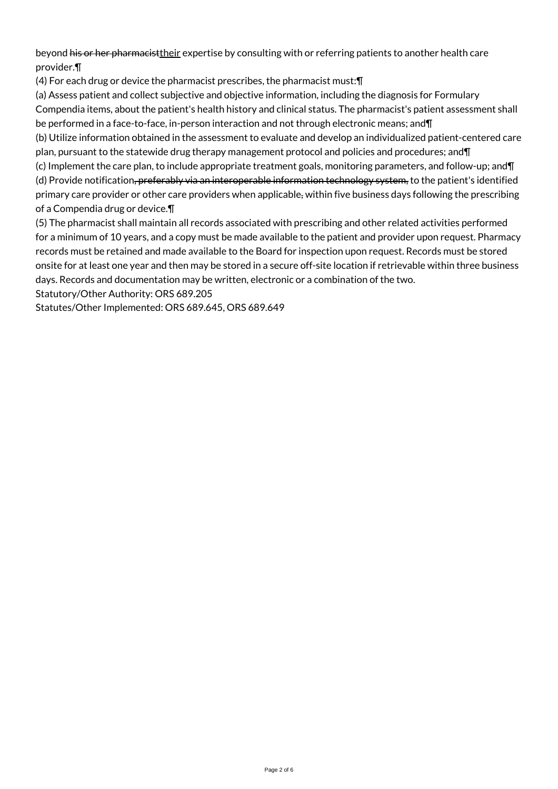beyond his or her pharmacisttheir expertise by consulting with or referring patients to another health care provider.¶

(4) For each drug or device the pharmacist prescribes, the pharmacist must:¶

(a) Assess patient and collect subjective and objective information, including the diagnosis for Formulary

Compendia items, about the patient's health history and clinical status. The pharmacist's patient assessment shall be performed in a face-to-face, in-person interaction and not through electronic means; and¶

(b) Utilize information obtained in the assessment to evaluate and develop an individualized patient-centered care plan, pursuant to the statewide drug therapy management protocol and policies and procedures; and¶

(c) Implement the care plan, to include appropriate treatment goals, monitoring parameters, and follow-up; and¶ (d) Provide notification, preferably via an interoperable information technology system, to the patient's identified primary care provider or other care providers when applicable, within five business days following the prescribing of a Compendia drug or device.¶

(5) The pharmacist shall maintain all records associated with prescribing and other related activities performed for a minimum of 10 years, and a copy must be made available to the patient and provider upon request. Pharmacy records must be retained and made available to the Board for inspection upon request. Records must be stored onsite for at least one year and then may be stored in a secure off-site location if retrievable within three business days. Records and documentation may be written, electronic or a combination of the two.

Statutory/Other Authority: ORS 689.205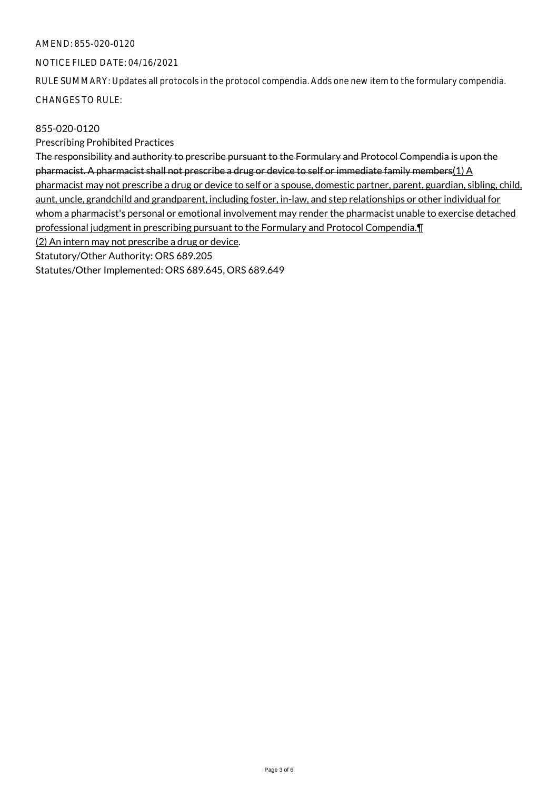# AMEND: 855-020-0120

#### NOTICE FILED DATE: 04/16/2021

RULE SUMMARY: Updates all protocols in the protocol compendia. Adds one new item to the formulary compendia. CHANGES TO RULE:

855-020-0120

Prescribing Prohibited Practices

The responsibility and authority to prescribe pursuant to the Formulary and Protocol Compendia is upon the pharmacist. A pharmacist shall not prescribe a drug or device to self or immediate family members(1) A pharmacist may not prescribe a drug or device to self or a spouse, domestic partner, parent, guardian, sibling, child, aunt, uncle, grandchild and grandparent, including foster, in-law, and step relationships or other individual for whom a pharmacist's personal or emotional involvement may render the pharmacist unable to exercise detached professional judgment in prescribing pursuant to the Formulary and Protocol Compendia.¶ (2) An intern may not prescribe a drug or device. Statutory/Other Authority: ORS 689.205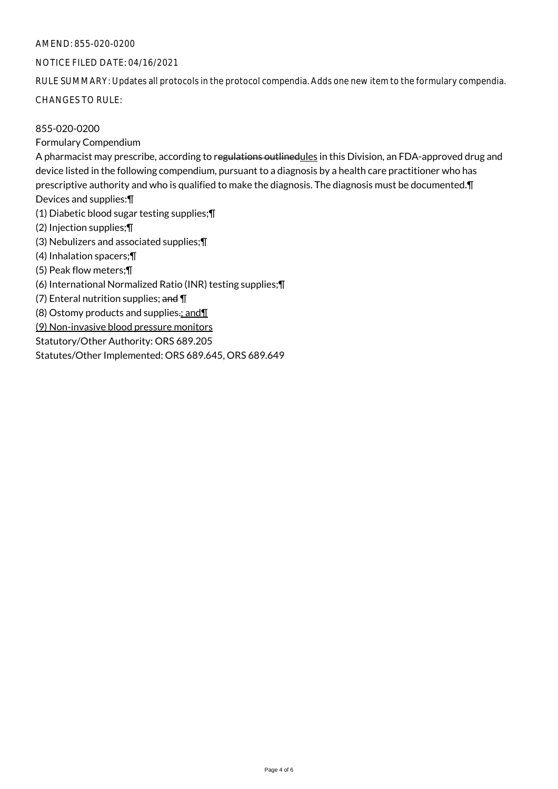# AMEND: 855-020-0200

#### NOTICE FILED DATE: 04/16/2021

RULE SUMMARY: Updates all protocols in the protocol compendia. Adds one new item to the formulary compendia. CHANGES TO RULE:

#### 855-020-0200

Formulary Compendium

A pharmacist may prescribe, according to regulations outlinedules in this Division, an FDA-approved drug and device listed in the following compendium, pursuant to a diagnosis by a health care practitioner who has prescriptive authority and who is qualified to make the diagnosis. The diagnosis must be documented. **[1]** Devices and supplies:¶ (1) Diabetic blood sugar testing supplies;¶ (2) Injection supplies;¶

(3) Nebulizers and associated supplies;¶

(4) Inhalation spacers;¶

(5) Peak flow meters;¶

(6) International Normalized Ratio (INR) testing supplies;¶

(7) Enteral nutrition supplies; and ¶

(8) Ostomy products and supplies $\cdot$ ; and  $\P$ 

(9) Non-invasive blood pressure monitors

Statutory/Other Authority: ORS 689.205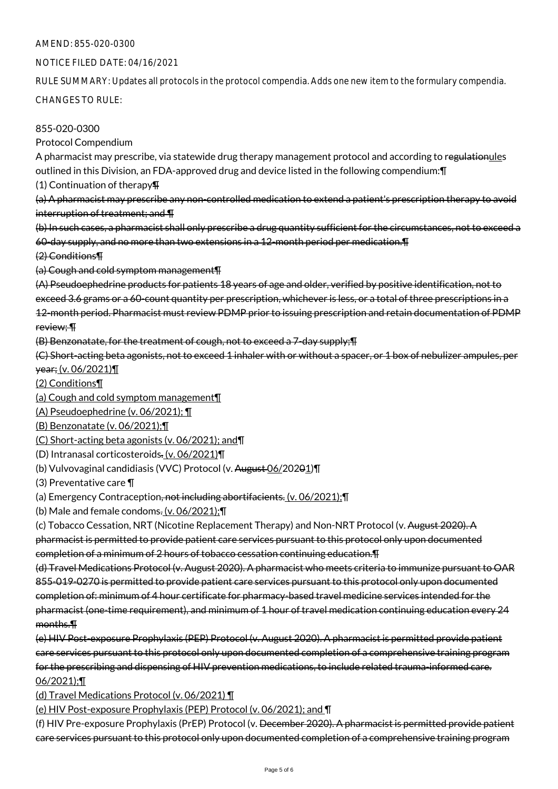# AMEND: 855-020-0300

#### NOTICE FILED DATE: 04/16/2021

RULE SUMMARY: Updates all protocols in the protocol compendia. Adds one new item to the formulary compendia. CHANGES TO RULE:

855-020-0300

Protocol Compendium

A pharmacist may prescribe, via statewide drug therapy management protocol and according to regulationules outlined in this Division, an FDA-approved drug and device listed in the following compendium:¶

(1) Continuation of therapy¶

(a) A pharmacist may prescribe any non-controlled medication to extend a patient's prescription therapy to avoid interruption of treatment; and ¶

(b) In such cases, a pharmacist shall only prescribe a drug quantity sufficient for the circumstances, not to exceed a 60-day supply, and no more than two extensions in a 12-month period per medication.¶

(2) Conditions¶

(a) Cough and cold symptom management¶

(A) Pseudoephedrine products for patients 18 years of age and older, verified by positive identification, not to exceed 3.6 grams or a 60-count quantity per prescription, whichever is less, or a total of three prescriptions in a 12-month period. Pharmacist must review PDMP prior to issuing prescription and retain documentation of PDMP review; ¶

(B) Benzonatate, for the treatment of cough, not to exceed a 7-day supply;¶

(C) Short-acting beta agonists, not to exceed 1 inhaler with or without a spacer, or 1 box of nebulizer ampules, per year; (v. 06/2021)¶

(2) Conditions¶

(a) Cough and cold symptom management¶

(A) Pseudoephedrine (v. 06/2021); ¶

(B) Benzonatate (v. 06/2021);¶

(C) Short-acting beta agonists (v. 06/2021); and¶

(D) Intranasal corticosteroids. (v. 06/2021)¶

(b) Vulvovaginal candidiasis (VVC) Protocol (v. August 06/20201)¶

(3) Preventative care ¶

(a) Emergency Contraception, not including abortifacients. (v. 06/2021);¶

(b) Male and female condoms.  $(v. 06/2021)$ ;  $\P$ 

(c) Tobacco Cessation, NRT (Nicotine Replacement Therapy) and Non-NRT Protocol (v. August 2020). A pharmacist is permitted to provide patient care services pursuant to this protocol only upon documented completion of a minimum of 2 hours of tobacco cessation continuing education.¶

(d) Travel Medications Protocol (v. August 2020). A pharmacist who meets criteria to immunize pursuant to OAR 855-019-0270 is permitted to provide patient care services pursuant to this protocol only upon documented completion of: minimum of 4 hour certificate for pharmacy-based travel medicine services intended for the pharmacist (one-time requirement), and minimum of 1 hour of travel medication continuing education every 24 months.¶

(e) HIV Post-exposure Prophylaxis (PEP) Protocol (v. August 2020). A pharmacist is permitted provide patient care services pursuant to this protocol only upon documented completion of a comprehensive training program for the prescribing and dispensing of HIV prevention medications, to include related trauma-informed care. 06/2021);¶

(d) Travel Medications Protocol (v. 06/2021) ¶

(e) HIV Post-exposure Prophylaxis (PEP) Protocol (v. 06/2021); and ¶

(f) HIV Pre-exposure Prophylaxis (PrEP) Protocol (v. December 2020). A pharmacist is permitted provide patient care services pursuant to this protocol only upon documented completion of a comprehensive training program